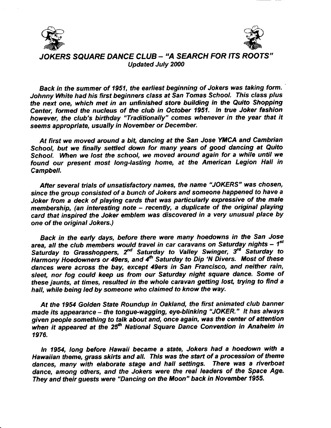



JOKERS SQUARE DANCE CLUB - "A SEARCH FOR ITS ROOTS" Updated July 2000

Back in the summer of 1951, the earliest beginning of Jokers was taking form. Johnny White had his first beginners class at San Tomas School. This class plus the next one, which met in an unfinished store building in the Quito Shopping Center, formed the nucleus of the club in October 1951. ln true Joker fashion however, the club's birthday "Traditionally" comes whenever in the year that it seems appropriate, usually in November or December.

At first we moved around a bit, dancing at the San Jose YMCA and Cambrian School, but we finally settled down for many years of good dancing at Quito School. When we lost the school, we moved around again for a while until we found our present most long-lasting home, at the American Legion Hall in Campbell.

After several trials of unsatisfactory names, the name "JOKERS" was chosen, since the group consisted of a bunch of Jokers and someone happened to have a Joker from a deck of playing cards that was particularly expressive of the male membership, (an interesting note - recently, a duplicate of the original playing card that inspired the Joker emblem was discovered in a very unusual place by one of the original Jokers.)

Back in the early days, before there were many hoedowns in the San Jose area, all the club members would travel in car caravans on Saturday nights -  $1<sup>st</sup>$ Saturday to Grasshoppers,  $2^{nd}$  Saturday to Valley Swinger,  $3^{rd}$  Saturday to Harmony Hoedowners or 49ers, and  $4<sup>th</sup>$  Saturday to Dip 'N Divers. Most of these dances were across the bay, except 49ers in San Francisco, and neither rain, sleet, nor fog could keep us from our Saturday night square dance. Some of these jaunts, at times, resulted in the whole caravan getting lost, trying to find a hall, while being led by someone who claimed to know the way.

At the 1954 Golden Sfate Roundup in Oakland, the first animated club hanner made its appearance - the tongue-wagging, eye-blinking "JOKER." It has always given people something to talk about and, once again, was the center of attention when it appeared at the  $25<sup>th</sup>$  National Square Dance Convention in Anaheim in 1976.

ln 1954, Iong before Hawaii became a sfafg Jokers had a hoedown with a Hawaiian theme, grass skirts and all. This was the start of a procession of theme dances, many with elaborate stage and hall settings. There was a riverboat dance, among ofiers, and the Jokers were the real leaders of the Space Age. They and their guests were "Dancing on the Moon" back in November 1955.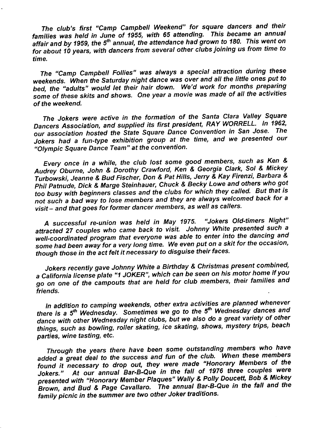The club's first "Camp Campbell Weekend" for square dancers and their families was held in June of 1955, with 65 attending. This became an annual affair and by 1959, the 5<sup>th</sup> annual, the attendance had grown to 180. This went on for about 10 years, with dancers from several other clubs joining us from time to time.

The "Camp Campbell Follies" was always a special attraction during these weekends. When the Saturday night dance was over and all the little ones put to bed, the "adults" would let their hair down. We'd work for months preparing some of these skits and shows. One year a movie was made of all the activities of the weekend.

The Jokers were active in the formation of the Santa Clara Valley Square Dancers Association, and supplied its first president, RAY WORRELL. In 1962, our association hosted the State Square Dance Convention in San Jose. The Jokers had a fun-type exhibition group at the time, and we presented our "Olympic Sguare Dance Team" at the convention'

Every once in a while, the club lost some good members, such as Ken & Audrey oburne, John & Dorothy crawford, Ken & Georgia clark, sot & Mickey Turbowski, Jeanne & Bud Fischer, Don & Pat Hills, Jerry & Kay Firenzi, Barbara & Phil Patnude, Dick & Marge Steinhauer, Chuck & Becky Lowe and others who got too busy with beginners classes and the clubs for which they called. But that is not such a bad way to lose members and they are always welcomed back for a visit - and that goes for former dancer members, as well as callers.

A successful re-union was held in May 1975. "Jokers Old-timers Night" attracted 2T couples who came back to visit. Johnny White presented such a well-coordinated program that everyone was able to enter into the dancing and for social that  $P$  is given a very long time. We even put on a skit for the occasion, though those in the act felt it necessary to disguise their faces.

Jokers recently gave Johnny White a Birthday & Christmas present combined, a California license plate "1 JOKER", which can be seen on his motor home if you go on one of the campouts that are held for club members, their families and friends.

tn addition to camping weekends, other extra activities are planned whenever there is a  $5<sup>th</sup>$  Wednesday. Sometimes we go to the  $5<sup>th</sup>$  Wednesday dances and dance with other Wednesday night clubs, but we also do a great variety of other things, such as bowling, roller skating, ice skating, shows, mystery trips, beach parties, wine tasting, etc.

Through the years there have been some outstanding members who have added a great deal to the success and fun of the club. When these members found it necessary to drop out, they were made "Honorary Members of the Jokers." At our annual Bar-B-Que in the fall of 1976 three couples were presented with "Honorary Member Plaques" Wally & Polly Doucett, Bob & Mickey Brown, and Bud & Page cavallaro. The annual Bar-B'Que in the fall and the family picnic in the summer are two other Joker traditions.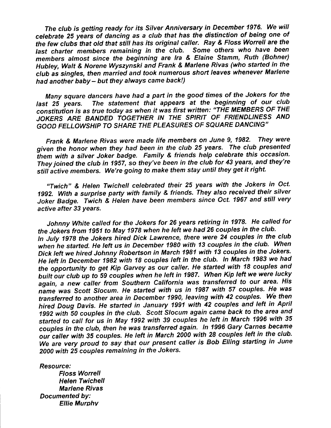The club is getting ready for its Silver Anniversary in December 1976. We will celebrate 25 years of dancing as a club that has the distinction of being one of the few clubs that old that still has its original caller. Ray & Floss Worrell are the last charter members remaining in the club. Some others who have been members almost since the beginning are Ira & Elaine Stamm, Ruth (Bohner) Hubley, Watt & Norene Wyszynski and Frank & Marlene Rivas (who started in the club as singles, then married and took numerous short leaves whenever Marlene had another haby - but they always came back!)

Many square dancers have had a part in the good times of the Jokers for the last 25 years. The statement that appears at the beginning of our club constitution is as true today as when it was first written: "THE MEMBERS OF THE JOKERS ARE BANDED TOGETHER IN THE SPIRIT OF FRIENDLINESS AND GOOD FELLOWSHIP TO SHARE THE PLEASURES OF SQUARE DANCING'

Frank & Martene Rivas were made life members on June 9, 1982. They were given the honor when they had been in the club 25 years. The club presented them with a silver Joker badge. Family & friends help celebrate this occasion. They joined the club in 1957, so they've been in the club for 43 years, and they're still active members. We're going to make them stay until they get it right.

"Twich" & Heten Twichell celebrated their 25 years with the Jokers in Oct. 1992. With a surprise party with family & friends. They also received their silver Joker Badge. Twich & Helen have been members since Oct. 1967 and still very active after 33 years.

Johnny White called for the Jokers for 26 years retiring in 1978. He called for the Jokers from 1951 to May 1978 when he left we had 26 couples in the club. In July 1978 the Jokers hired Dick Lawrence, there were 24 couples in the club when he started. He left us in December 1980 with 13 couples in the club. When Dick left we hired Johnny Robertson in March 1981 with 13 couples in the Jokers. He left in December 1982 with 18 couples left in the club. In March 1983 we had the opportunity to get Kip Garvey as our caller. He started with 18 couples and built our club up to 59 couples when he left in 1987. When Kip left we were lucky again, a new caller from Southern California was transferred to our area. His name was Scott Slocum. He started with us in 1987 with 57 couples. He was transferred to another area in December 1990, leaving with 42 couples. We then hired Doug Davis. He started in January 1991 with 42 couples and left in April 1992 with 50 couples in the club. Scott Slocum again came back to the area and started to call for us in May 1992 with 39 couples he left in March 1996 with 35 couples in the club, then he was transferred again. ln 1996 Gary Carnes became our caller with 35 couples. He left in March 2000 with 28 couples Ieft in the club. We are very proud to say that our present caller is Bob Elling starting in June 20OO with 25 couples remaining in the Jokers.

Resource;

F/oss Worrell Helen Twichell Marlene Rivas Documented bY: Ellie Murphv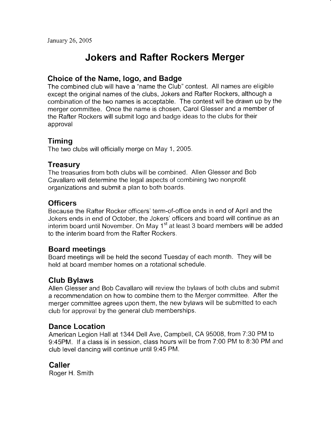# Jokers and Rafter Rockers Merger

## Choice of the Name, logo, and Badge

The combined club will have a "name the Club" contest. All names are eligible except the original names of the clubs, Jokers and Rafter Rockers, although a combination of the two names is acceptable. The contest will be drawn up by the merger committee. Once the name is chosen, Carol Glesser and a member of the Rafter Rockers will submit logo and badge ideas to the clubs for their approval

# Timing

The two clubs will officially merge on May 1, 2005.

### **Treasury**

The treasuries from both clubs will be combined. Allen Glesser and Bob Cavallaro will determine the legal aspects of combining two nonprofit organizations and submit a plan to both boards.

# **Officers**

Because the Rafter Rocker officers' term-of-office ends in end of April and the Jokers ends in end of October, the Jokers' officers and board will continue as an interim board until November. On May 1<sup>st</sup> at least 3 board members will be added to the interim board from the Rafter Rockers.

### Board meetings

Board meetings will be held the second Tuesday of each month. They will be held at board member homes on a rotational schedule.

# Glub Bylaws

Allen Glesser and Bob Cavallaro will review the bylaws of both clubs and submit a recommendation on how to combine them to the Merger committee. After the merger committee agrees upon them, the new bylaws will be submitted to each club for approval by the general club memberships.

### Dance Location

American Legion Hall at 1344 Dell Ave, Campbell, CA 95008, from 7:30 PM to 9:45PM. If a class is in session, class hours will be from 7:00 PM to 8:30 PM and club level dancing will continue until 9:45 PM.

### **Caller**

Roger H. Smith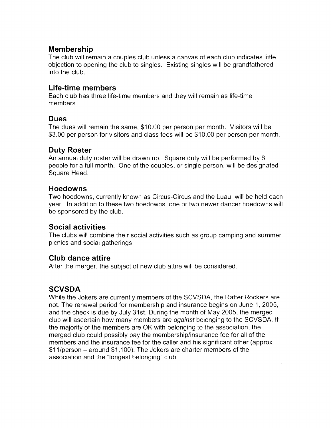#### Membership

The club will remain a couples club unless a canvas of each club indicates little objection to opening the club to singles. Existing singles will be grandfathered into the club.

#### Life-time members

Each club has three life-time members and thev will remain as life-time members.

#### Dues

The dues will remain the same, \$10.00 per person per month. Visitors will be \$3.00 per person for visitors and class fees will be \$10.00 per person per month.

### Duty Roster

An annual duty roster will be drawn up. Square duty will be performed by 6 people for a full month. One of the couples, or single person, will be designated Square Head.

#### Hoedowns

Two hoedowns, currently known as Circus-Circus and the Luau, will be held each yeat. In addition to these two hoedowns, one or two newer dancer hoedowns will be sponsored by the club.

### Social activities

The clubs will combine their social activities such as group camping and summer picnics and social gatherings.

### Club dance attire

After the merger, the subject of new club attire will be considered.

# **SCVSDA**

While the Jokers are currently members of the SCVSDA, the Rafter Rockers are not. The renewal period for membership and insurance begins on June 1, 2005, and the check is due by July 31st. During the month of May 2005, the merged club will ascertain how many members are againsf belonging to the SCVSDA. lf the majority of the members are OK with belonging to the association, the merged club could possibly pay the membership/insurance fee for all of the members and the insurance fee for the caller and his significant other (approx  $$11/person - around $1,100$ . The Jokers are charter members of the association and the "longest belonging" club.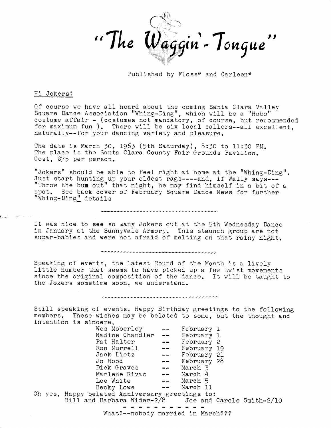

Published by Floss\* and Carleen\*

#### Hi Jokers!

Of course we have all heard about the coming Santa Clara Valley Square Dance Association "Whing-Ding", which will be a "Hobo" costume affair - (costumes not mandatory, of course, but recommended for maximum fun ). There will be six local callers--all excellent. naturally--for your dancing variety and pleasure.

The date is March 30, 1963 (5th Saturday), 8:30 to 11:30 PM. The place is the Santa Clara County Fair Grounds Pavilion. Cost. \$75 per person.

"Jokers" should be able to feel right at home at the "Whing-Ding". Just start hunting up your oldest rags----and, if Wally says---"Throw the bum out" that night, he may find himself in a bit of a spot. See back cover of February Square Dance News for further "Whing-Ding" details

,,,,,,,,,,,,,,,,,,,,,,,,,

It was nice to see so many Jokers out at the 5th Wednesday Dance in January at the Sunnyvale Armory. This staunch group are not sugar-babies and were not afraid of melting on that rainy night.

,,,,,,,,,,,,,,,,,,,,,,,,,,,,,,,,,,

Speaking of events, the latest Round of the Month is a lively little number that seems to have picked up a few twist movements since the original composition of the dance. It will be taught to the Jokers sometime soon, we understand.

Still speaking of events, Happy Birthday greetings to the following members. These wishes may be belated to some, but the thought and intention is sincere.

.............................

Wes Moberley -- February 1 Nadine Chandler -- February 1 Pat Halter<br>
Pat Halter<br>
Ron Murrell<br>
Jack Lietz<br>
Jo Hood<br>
Dick Graves<br>
Marlene Rivas<br>
The March 4<br>
Marlene Rivas<br>
The March 4<br>
March 4<br>
March 4 Lee White -- March 5<br>Becky Lowe -- March 11 Oh yes, Happy belated Anniversary greetings to: Bill and Barbara Wider- $2/8$  Joe and Carole Smith-2/10 What?--nobody married in March???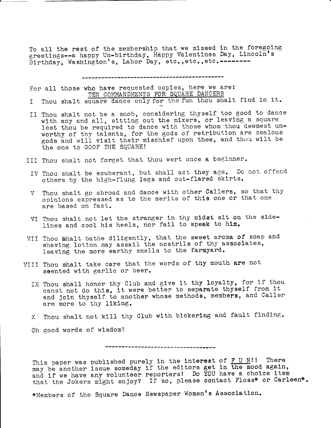To all the rest of the membership that we missed in the foregoing greetings--a happy Un-birthday, Happy Valentines Day, Lincoln's Birthday, Washington's, Labor Day, etc., etc., etc. --------

For all those who have requested copies, here we are: TEN COMMANDMENTS FOR SQUARE DANCERS

Thou shalt square dance only for the fun thou shalt find in it. I.

II Thou shalt not be a snob, considering thyself too good to dance with any and all, sitting out the mixers, or leaving a square lest thou be required to dance with those whom thou deemest unworthy of thy talents, for the gods of retribution are zealous gods and will visit their mischief upon thee, and thou wilt be the one to GOOF THE SQUARE!

III Thou shalt not forget that thou wert once a beginner.

- IV Thou shalt be exuberant, but shall act they age. Do not offend others by the high-flung legs and out-flared skirts.
- Thou shalt go abroad and dance with other Callers, so that thy  $\mathbf{V}$ opinions expressed as to the merits of this one or that one are based on fact.
- VI Thou shalt not let the stranger in thy midst sit on the sidelines and cool his heels, nor fail to speak to him.
- VII Thou khalt bathe diligently, that the sweet aroma of soap and shaving lotion may assail the nostrils of thy associates, leaving the more earthy smells to the farmyard.
- VIII Thou shalt take care that the words of thy mouth are not seented with garlic or beer.
	- IX Thou shall honor thy Club and give it thy loyalty, for if thou canst not do this, it were better to separate thyself from it and join thyself to another whose methods, members, and Caller are more to thy liking.
	- X Thou shalt not kill thy Club with bickering and fault finding.

Oh good words of wisdom!

This paper was published purely in the interest of  $\underline{F}$  U N!! There may be another issue someday if the editors get in the mood again, and if we have any volunteer reporters! Do YOU have a choice item that the Jokers might enjoy? If so, please contact Floss\* or Carleen\*.

,,,,,,,,,,,,,,,,,,,,,,,,,,,,,,,,

\*Members of the Square Dance Newspaper Women's Association.